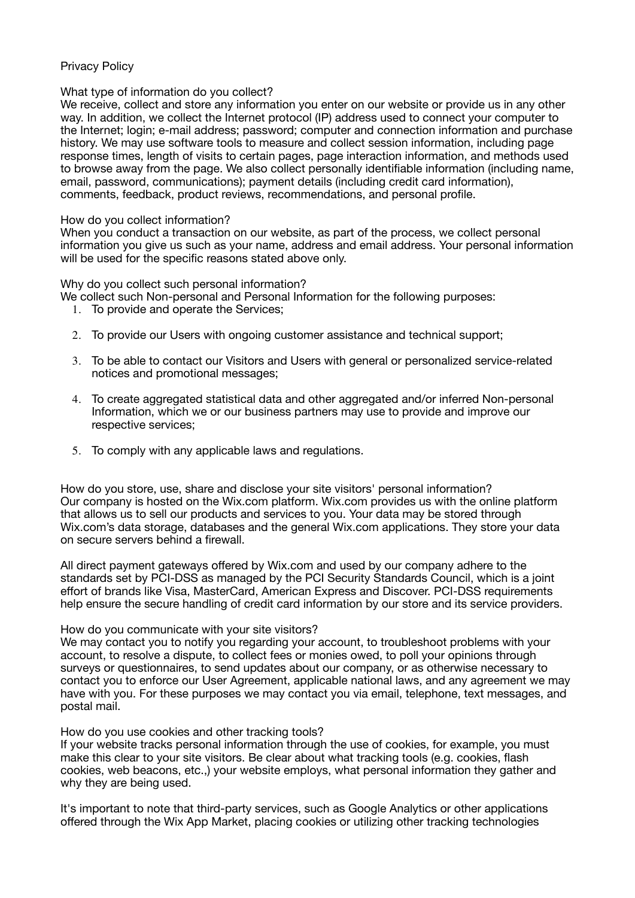# Privacy Policy

### What type of information do you collect?

We receive, collect and store any information you enter on our website or provide us in any other way. In addition, we collect the Internet protocol (IP) address used to connect your computer to the Internet; login; e-mail address; password; computer and connection information and purchase history. We may use software tools to measure and collect session information, including page response times, length of visits to certain pages, page interaction information, and methods used to browse away from the page. We also collect personally identifiable information (including name, email, password, communications); payment details (including credit card information), comments, feedback, product reviews, recommendations, and personal profile.

### How do you collect information?

When you conduct a transaction on our website, as part of the process, we collect personal information you give us such as your name, address and email address. Your personal information will be used for the specific reasons stated above only.

Why do you collect such personal information?

- We collect such Non-personal and Personal Information for the following purposes:
	- 1. To provide and operate the Services;
	- 2. To provide our Users with ongoing customer assistance and technical support;
	- 3. To be able to contact our Visitors and Users with general or personalized service-related notices and promotional messages;
	- 4. To create aggregated statistical data and other aggregated and/or inferred Non-personal Information, which we or our business partners may use to provide and improve our respective services;
	- 5. To comply with any applicable laws and regulations.

How do you store, use, share and disclose your site visitors' personal information? Our company is hosted on the Wix.com platform. Wix.com provides us with the online platform that allows us to sell our products and services to you. Your data may be stored through Wix.com's data storage, databases and the general Wix.com applications. They store your data on secure servers behind a firewall.

All direct payment gateways offered by Wix.com and used by our company adhere to the standards set by PCI-DSS as managed by the PCI Security Standards Council, which is a joint effort of brands like Visa, MasterCard, American Express and Discover. PCI-DSS requirements help ensure the secure handling of credit card information by our store and its service providers.

#### How do you communicate with your site visitors?

We may contact you to notify you regarding your account, to troubleshoot problems with your account, to resolve a dispute, to collect fees or monies owed, to poll your opinions through surveys or questionnaires, to send updates about our company, or as otherwise necessary to contact you to enforce our User Agreement, applicable national laws, and any agreement we may have with you. For these purposes we may contact you via email, telephone, text messages, and postal mail.

How do you use cookies and other tracking tools?

If your website tracks personal information through the use of cookies, for example, you must make this clear to your site visitors. Be clear about what tracking tools (e.g. cookies, flash cookies, web beacons, etc.,) your website employs, what personal information they gather and why they are being used.

It's important to note that third-party services, such as Google Analytics or other applications offered through the Wix App Market, placing cookies or utilizing other tracking technologies